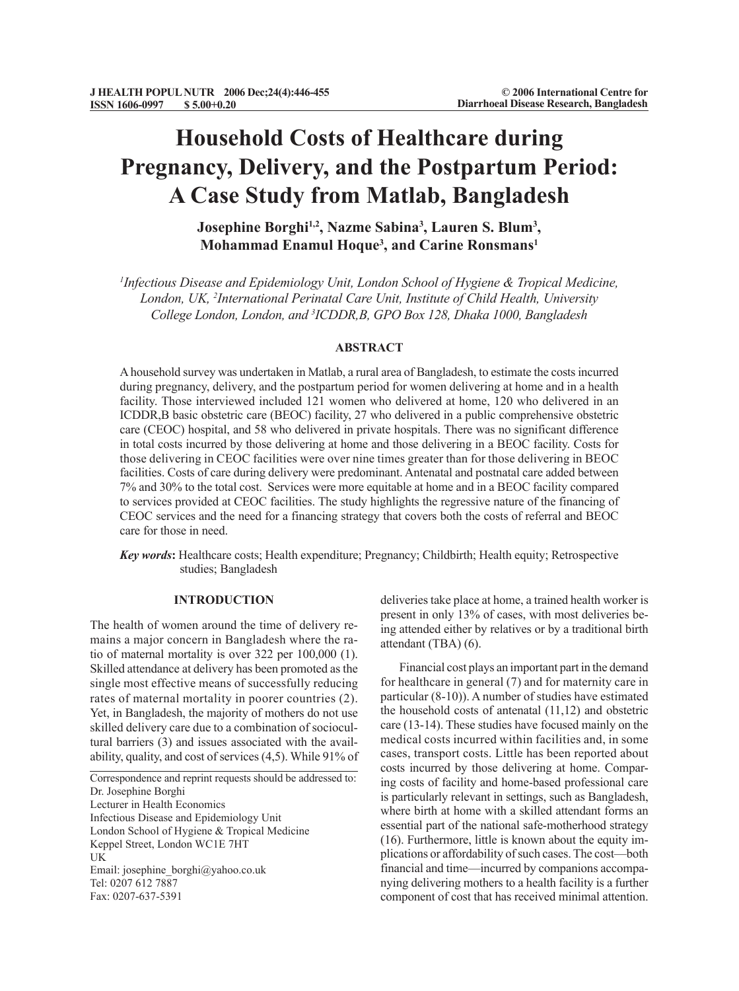# **Household Costs of Healthcare during Pregnancy, Delivery, and the Postpartum Period: A Case Study from Matlab, Bangladesh**

**Josephine Borghi1,2, Nazme Sabina3 , Lauren S. Blum3 , Mohammad Enamul Hoque3 , and Carine Ronsmans1**

<sup>1</sup>Infectious Disease and Epidemiology Unit, London School of Hygiene & Tropical Medicine, *London, UK, 2 International Perinatal Care Unit, Institute of Child Health, University College London, London, and 3 ICDDR,B, GPO Box 128, Dhaka 1000, Bangladesh*

# **ABSTRACT**

A household survey was undertaken in Matlab, a rural area of Bangladesh, to estimate the costs incurred during pregnancy, delivery, and the postpartum period for women delivering at home and in a health facility. Those interviewed included 121 women who delivered at home, 120 who delivered in an ICDDR,B basic obstetric care (BEOC) facility, 27 who delivered in a public comprehensive obstetric care (CEOC) hospital, and 58 who delivered in private hospitals. There was no significant difference in total costs incurred by those delivering at home and those delivering in a BEOC facility. Costs for those delivering in CEOC facilities were over nine times greater than for those delivering in BEOC facilities. Costs of care during delivery were predominant. Antenatal and postnatal care added between 7% and 30% to the total cost. Services were more equitable at home and in a BEOC facility compared to services provided at CEOC facilities. The study highlights the regressive nature of the financing of CEOC services and the need for a financing strategy that covers both the costs of referral and BEOC care for those in need.

*Key words***:** Healthcare costs; Health expenditure; Pregnancy; Childbirth; Health equity; Retrospective studies; Bangladesh

# **INTRODUCTION**

The health of women around the time of delivery remains a major concern in Bangladesh where the ratio of maternal mortality is over 322 per 100,000 (1). Skilled attendance at delivery has been promoted as the single most effective means of successfully reducing rates of maternal mortality in poorer countries (2). Yet, in Bangladesh, the majority of mothers do not use skilled delivery care due to a combination of sociocultural barriers (3) and issues associated with the availability, quality, and cost of services (4,5). While 91% of

Correspondence and reprint requests should be addressed to: Dr. Josephine Borghi Lecturer in Health Economics Infectious Disease and Epidemiology Unit London School of Hygiene & Tropical Medicine Keppel Street, London WC1E 7HT UK Email: josephine\_borghi@yahoo.co.uk Tel: 0207 612 7887 Fax: 0207-637-5391

deliveries take place at home, a trained health worker is present in only 13% of cases, with most deliveries being attended either by relatives or by a traditional birth attendant (TBA) (6).

Financial cost plays an important part in the demand for healthcare in general (7) and for maternity care in particular (8-10)). A number of studies have estimated the household costs of antenatal (11,12) and obstetric care (13-14). These studies have focused mainly on the medical costs incurred within facilities and, in some cases, transport costs. Little has been reported about costs incurred by those delivering at home. Comparing costs of facility and home-based professional care is particularly relevant in settings, such as Bangladesh, where birth at home with a skilled attendant forms an essential part of the national safe-motherhood strategy (16). Furthermore, little is known about the equity implications or affordability of such cases. The cost—both financial and time—incurred by companions accompanying delivering mothers to a health facility is a further component of cost that has received minimal attention.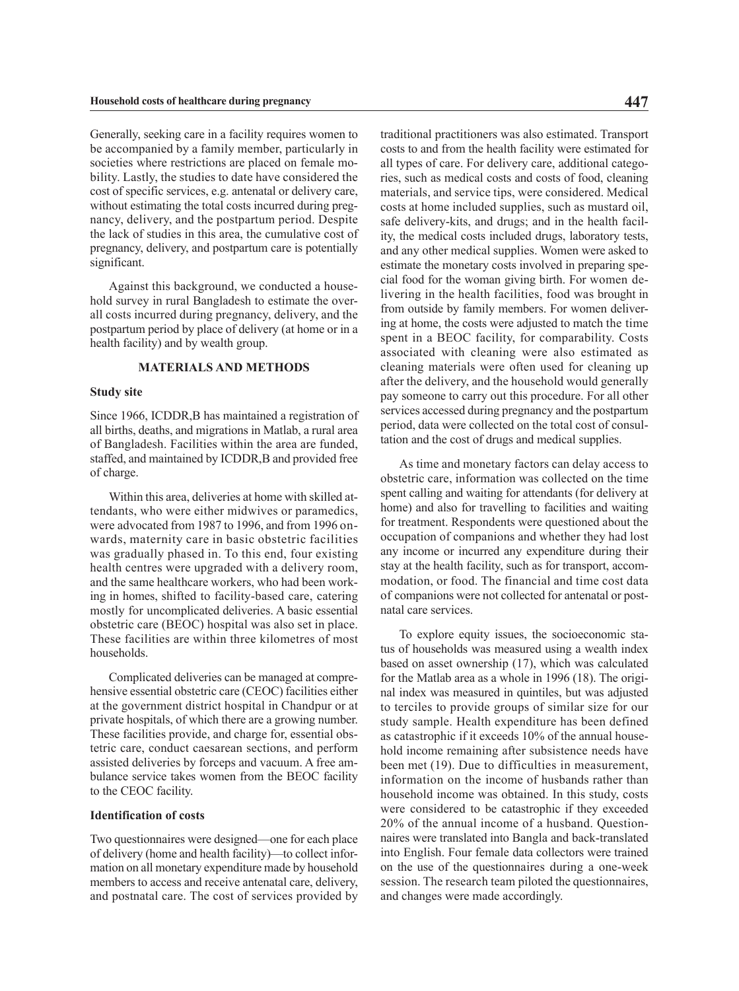Generally, seeking care in a facility requires women to be accompanied by a family member, particularly in societies where restrictions are placed on female mobility. Lastly, the studies to date have considered the cost of specific services, e.g. antenatal or delivery care, without estimating the total costs incurred during pregnancy, delivery, and the postpartum period. Despite the lack of studies in this area, the cumulative cost of pregnancy, delivery, and postpartum care is potentially significant.

Against this background, we conducted a household survey in rural Bangladesh to estimate the overall costs incurred during pregnancy, delivery, and the postpartum period by place of delivery (at home or in a health facility) and by wealth group.

# **MATERIALS AND METHODS**

# **Study site**

Since 1966, ICDDR,B has maintained a registration of all births, deaths, and migrations in Matlab, a rural area of Bangladesh. Facilities within the area are funded, staffed, and maintained by ICDDR, B and provided free of charge.

Within this area, deliveries at home with skilled attendants, who were either midwives or paramedics, were advocated from 1987 to 1996, and from 1996 onwards, maternity care in basic obstetric facilities was gradually phased in. To this end, four existing health centres were upgraded with a delivery room, and the same healthcare workers, who had been working in homes, shifted to facility-based care, catering mostly for uncomplicated deliveries. A basic essential obstetric care (BEOC) hospital was also set in place. These facilities are within three kilometres of most households.

Complicated deliveries can be managed at comprehensive essential obstetric care (CEOC) facilities either at the government district hospital in Chandpur or at private hospitals, of which there are a growing number. These facilities provide, and charge for, essential obstetric care, conduct caesarean sections, and perform assisted deliveries by forceps and vacuum. A free ambulance service takes women from the BEOC facility to the CEOC facility.

### **Identification of costs**

Two questionnaires were designed—one for each place of delivery (home and health facility)—to collect information on all monetary expenditure made by household members to access and receive antenatal care, delivery, and postnatal care. The cost of services provided by

traditional practitioners was also estimated. Transport costs to and from the health facility were estimated for all types of care. For delivery care, additional categories, such as medical costs and costs of food, cleaning materials, and service tips, were considered. Medical costs at home included supplies, such as mustard oil, safe delivery-kits, and drugs; and in the health facility, the medical costs included drugs, laboratory tests, and any other medical supplies. Women were asked to estimate the monetary costs involved in preparing special food for the woman giving birth. For women delivering in the health facilities, food was brought in from outside by family members. For women delivering at home, the costs were adjusted to match the time spent in a BEOC facility, for comparability. Costs associated with cleaning were also estimated as cleaning materials were often used for cleaning up after the delivery, and the household would generally pay someone to carry out this procedure. For all other services accessed during pregnancy and the postpartum period, data were collected on the total cost of consultation and the cost of drugs and medical supplies.

As time and monetary factors can delay access to obstetric care, information was collected on the time spent calling and waiting for attendants (for delivery at home) and also for travelling to facilities and waiting for treatment. Respondents were questioned about the occupation of companions and whether they had lost any income or incurred any expenditure during their stay at the health facility, such as for transport, accommodation, or food. The financial and time cost data of companions were not collected for antenatal or postnatal care services.

To explore equity issues, the socioeconomic status of households was measured using a wealth index based on asset ownership (17), which was calculated for the Matlab area as a whole in 1996 (18). The original index was measured in quintiles, but was adjusted to terciles to provide groups of similar size for our study sample. Health expenditure has been defined as catastrophic if it exceeds 10% of the annual household income remaining after subsistence needs have been met (19). Due to difficulties in measurement, information on the income of husbands rather than household income was obtained. In this study, costs were considered to be catastrophic if they exceeded 20% of the annual income of a husband. Questionnaires were translated into Bangla and back-translated into English. Four female data collectors were trained on the use of the questionnaires during a one-week session. The research team piloted the questionnaires, and changes were made accordingly.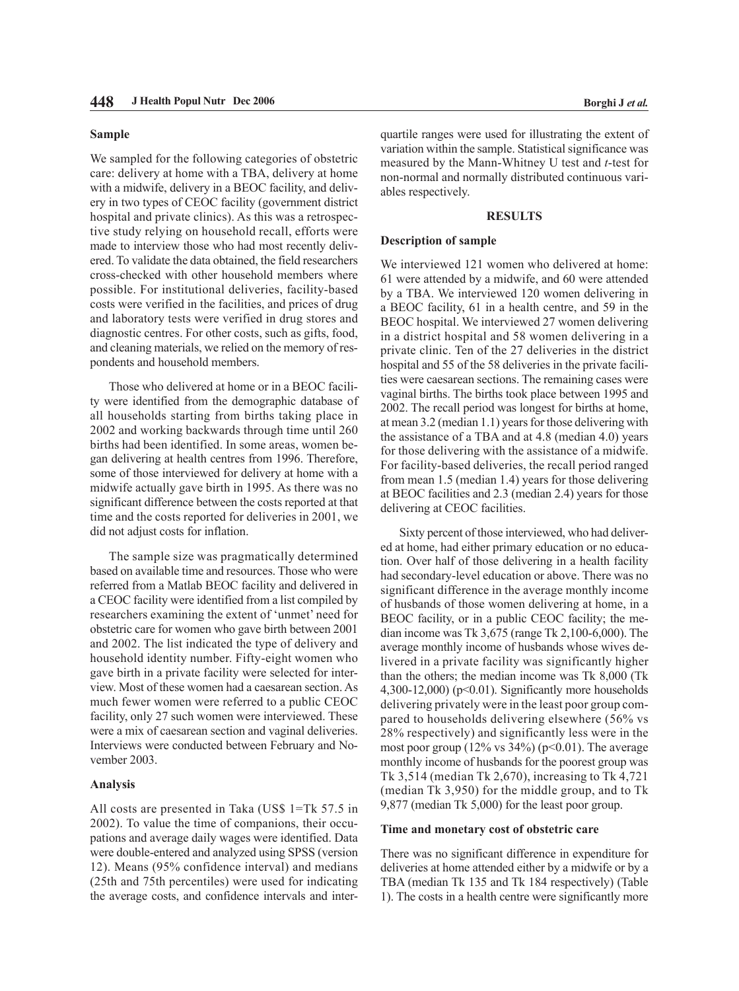## **Sample**

We sampled for the following categories of obstetric care: delivery at home with a TBA, delivery at home with a midwife, delivery in a BEOC facility, and delivery in two types of CEOC facility (government district hospital and private clinics). As this was a retrospective study relying on household recall, efforts were made to interview those who had most recently delivered. To validate the data obtained, the field researchers cross-checked with other household members where possible. For institutional deliveries, facility-based costs were verified in the facilities, and prices of drug and laboratory tests were verified in drug stores and diagnostic centres. For other costs, such as gifts, food, and cleaning materials, we relied on the memory of respondents and household members.

Those who delivered at home or in a BEOC facility were identified from the demographic database of all households starting from births taking place in 2002 and working backwards through time until 260 births had been identified. In some areas, women began delivering at health centres from 1996. Therefore, some of those interviewed for delivery at home with a midwife actually gave birth in 1995. As there was no significant difference between the costs reported at that time and the costs reported for deliveries in 2001, we did not adjust costs for inflation.

The sample size was pragmatically determined based on available time and resources. Those who were referred from a Matlab BEOC facility and delivered in a CEOC facility were identified from a list compiled by researchers examining the extent of 'unmet' need for obstetric care for women who gave birth between 2001 and 2002. The list indicated the type of delivery and household identity number. Fifty-eight women who gave birth in a private facility were selected for interview. Most of these women had a caesarean section. As much fewer women were referred to a public CEOC facility, only 27 such women were interviewed. These were a mix of caesarean section and vaginal deliveries. Interviews were conducted between February and November 2003.

## **Analysis**

All costs are presented in Taka (US\$ 1=Tk 57.5 in 2002). To value the time of companions, their occupations and average daily wages were identified. Data were double-entered and analyzed using SPSS (version 12). Means (95% confidence interval) and medians (25th and 75th percentiles) were used for indicating the average costs, and confidence intervals and inter-

quartile ranges were used for illustrating the extent of variation within the sample. Statistical significance was measured by the Mann-Whitney U test and *t*-test for non-normal and normally distributed continuous variables respectively.

## **RESULTS**

# **Description of sample**

We interviewed 121 women who delivered at home: 61 were attended by a midwife, and 60 were attended by a TBA. We interviewed 120 women delivering in a BEOC facility, 61 in a health centre, and 59 in the BEOC hospital. We interviewed 27 women delivering in a district hospital and 58 women delivering in a private clinic. Ten of the 27 deliveries in the district hospital and 55 of the 58 deliveries in the private facilities were caesarean sections. The remaining cases were vaginal births. The births took place between 1995 and 2002. The recall period was longest for births at home, at mean 3.2 (median 1.1) years for those delivering with the assistance of a TBA and at 4.8 (median 4.0) years for those delivering with the assistance of a midwife. For facility-based deliveries, the recall period ranged from mean 1.5 (median 1.4) years for those delivering at BEOC facilities and 2.3 (median 2.4) years for those delivering at CEOC facilities.

Sixty percent of those interviewed, who had delivered at home, had either primary education or no education. Over half of those delivering in a health facility had secondary-level education or above. There was no significant difference in the average monthly income of husbands of those women delivering at home, in a BEOC facility, or in a public CEOC facility; the median income was Tk 3,675 (range Tk 2,100-6,000). The average monthly income of husbands whose wives delivered in a private facility was significantly higher than the others; the median income was Tk 8,000 (Tk 4,300-12,000) ( $p<0.01$ ). Significantly more households delivering privately were in the least poor group compared to households delivering elsewhere (56% vs 28% respectively) and significantly less were in the most poor group  $(12\% \text{ vs } 34\%)$  (p<0.01). The average monthly income of husbands for the poorest group was Tk 3,514 (median Tk 2,670), increasing to Tk 4,721 (median Tk 3,950) for the middle group, and to Tk 9,877 (median Tk 5,000) for the least poor group.

### **Time and monetary cost of obstetric care**

There was no significant difference in expenditure for deliveries at home attended either by a midwife or by a TBA (median Tk 135 and Tk 184 respectively) (Table 1). The costs in a health centre were significantly more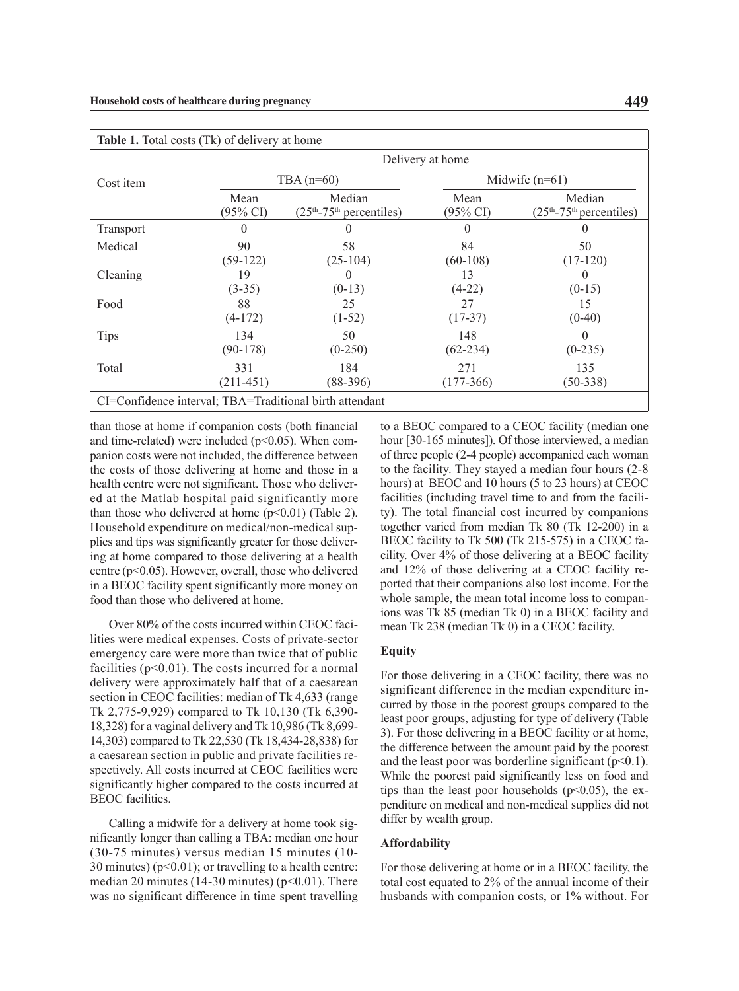| <b>Table 1.</b> Total costs (Tk) of delivery at home |                    |                                                         |                    |                                      |
|------------------------------------------------------|--------------------|---------------------------------------------------------|--------------------|--------------------------------------|
|                                                      |                    |                                                         | Delivery at home   |                                      |
| Cost item                                            |                    | TBA $(n=60)$                                            |                    | Midwife $(n=61)$                     |
|                                                      | Mean<br>(95% CI)   | Median<br>$(25th-75th$ percentiles)                     | Mean<br>(95% CI)   | Median<br>$(25th-75th)$ percentiles) |
| <b>Transport</b>                                     | $\theta$           | $\left( \right)$                                        | $\Omega$           | $\theta$                             |
| Medical                                              | 90<br>$(59-122)$   | 58<br>$(25-104)$                                        | 84<br>$(60-108)$   | 50<br>$(17-120)$                     |
| Cleaning                                             | 19<br>$(3-35)$     | $\cup$<br>$(0-13)$                                      | 13<br>$(4-22)$     | $(0-15)$                             |
| Food                                                 | 88<br>$(4-172)$    | 25<br>$(1-52)$                                          | 27<br>$(17-37)$    | 15<br>$(0-40)$                       |
| <b>Tips</b>                                          | 134<br>$(90-178)$  | 50<br>$(0-250)$                                         | 148<br>$(62-234)$  | $\theta$<br>$(0-235)$                |
| Total                                                | 331<br>$(211-451)$ | 184<br>(88-396)                                         | 271<br>$(177-366)$ | 135<br>$(50-338)$                    |
|                                                      |                    | CI=Confidence interval; TBA=Traditional birth attendant |                    |                                      |

than those at home if companion costs (both financial and time-related) were included ( $p$ <0.05). When companion costs were not included, the difference between the costs of those delivering at home and those in a health centre were not significant. Those who delivered at the Matlab hospital paid significantly more than those who delivered at home  $(p<0.01)$  (Table 2). Household expenditure on medical/non-medical supplies and tips was significantly greater for those delivering at home compared to those delivering at a health centre (p<0.05). However, overall, those who delivered in a BEOC facility spent significantly more money on food than those who delivered at home.

Over 80% of the costs incurred within CEOC facilities were medical expenses. Costs of private-sector emergency care were more than twice that of public facilities  $(p<0.01)$ . The costs incurred for a normal delivery were approximately half that of a caesarean section in CEOC facilities: median of Tk 4,633 (range Tk 2,775-9,929) compared to Tk 10,130 (Tk 6,390- 18,328) for a vaginal delivery and Tk 10,986 (Tk 8,699- 14,303) compared to Tk 22,530 (Tk 18,434-28,838) for a caesarean section in public and private facilities respectively. All costs incurred at CEOC facilities were significantly higher compared to the costs incurred at BEOC facilities.

Calling a midwife for a delivery at home took significantly longer than calling a TBA: median one hour (30-75 minutes) versus median 15 minutes (10- 30 minutes) ( $p<0.01$ ); or travelling to a health centre: median 20 minutes (14-30 minutes) ( $p<0.01$ ). There was no significant difference in time spent travelling

to a BEOC compared to a CEOC facility (median one hour [30-165 minutes]). Of those interviewed, a median of three people (2-4 people) accompanied each woman to the facility. They stayed a median four hours (2-8 hours) at BEOC and 10 hours (5 to 23 hours) at CEOC facilities (including travel time to and from the facility). The total financial cost incurred by companions together varied from median Tk 80 (Tk 12-200) in a BEOC facility to Tk 500 (Tk 215-575) in a CEOC facility. Over 4% of those delivering at a BEOC facility and 12% of those delivering at a CEOC facility reported that their companions also lost income. For the whole sample, the mean total income loss to companions was Tk 85 (median Tk 0) in a BEOC facility and mean Tk 238 (median Tk 0) in a CEOC facility.

# **Equity**

For those delivering in a CEOC facility, there was no significant difference in the median expenditure incurred by those in the poorest groups compared to the least poor groups, adjusting for type of delivery (Table 3). For those delivering in a BEOC facility or at home, the difference between the amount paid by the poorest and the least poor was borderline significant  $(p<0.1)$ . While the poorest paid significantly less on food and tips than the least poor households  $(p<0.05)$ , the expenditure on medical and non-medical supplies did not differ by wealth group.

## **Affordability**

For those delivering at home or in a BEOC facility, the total cost equated to 2% of the annual income of their husbands with companion costs, or 1% without. For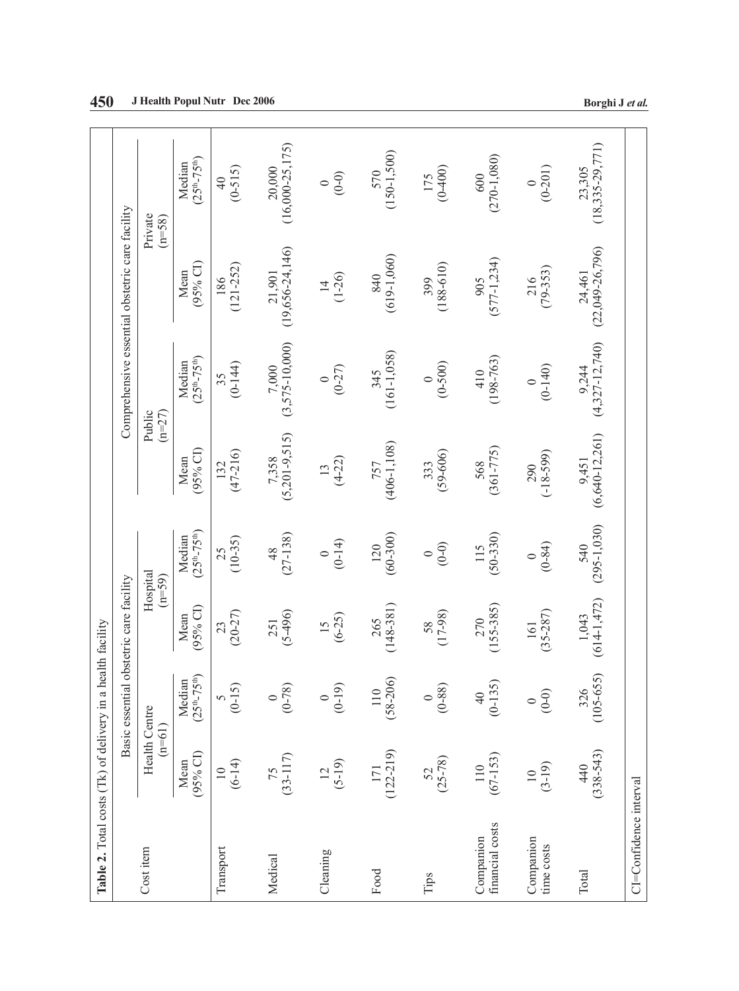| Table 2. Total costs (Tk) of delivery in a h |                             |                         | ealth facility              |                         |                               |                                 |                                                 |                                 |
|----------------------------------------------|-----------------------------|-------------------------|-----------------------------|-------------------------|-------------------------------|---------------------------------|-------------------------------------------------|---------------------------------|
|                                              |                             | Basic essential         | obstetric care facility     |                         |                               |                                 | Comprehensive essential obstetric care facility |                                 |
| Cost item                                    | Health Centre<br>$(n=61)$   |                         |                             | Hospital<br>$(n=59)$    |                               | $(n=27)$<br>Public              |                                                 | Private<br>$(n=58)$             |
|                                              | $(95%$ CI)<br>Mean          | Median<br>$(25th-75th)$ | $(95%$ CI)<br>Mean          | $(25th-75th)$<br>Median | (95% CI)<br>Mean              | $(25^{th} - 75^{th})$<br>Median | $(95%$ CI)<br>Mean                              | $(25th-75th)$<br>Median         |
| Transport                                    | $10$<br>(6-14)              | $(0-15)$                | $(20 - 27)$<br>23           | $(10-35)$<br>25         | $(47 - 216)$<br>132           | $(0-144)$<br>35                 | $(121 - 252)$<br>186                            | $(0-515)$<br>$\overline{40}$    |
| Medical                                      | $75$<br>(33-117)            | $(0 - 78)$<br>$\circ$   | $(5-496)$<br>251            | $(27-138)$<br>48        | $(5,201-9,515)$<br>7,358      | $(3,575 - 10,000)$<br>7,000     | $(19,656-24,146)$<br>21,901                     | $(16,000-25,175)$<br>20,000     |
| Cleaning                                     | $(5-19)$<br>$\overline{C}$  | $(0-19)$<br>$\circ$     | $(6-25)$<br>$\overline{15}$ | $(0-14)$<br>$\circ$     | $(4 - 22)$<br>13              | $(0 - 27)$<br>$\circ$           | $(1-26)$<br>$\vec{4}$                           | $(0 - 0)$<br>$\circ$            |
| Food                                         | $171$<br>(122-219)          | $110$<br>(58-206)       | $(148-381)$<br>265          | $(60-300)$<br>120       | $(406-1, 108)$<br>757         | $(161-1,058)$<br>345            | $(619-1,060)$<br>840                            | $(150-1,500)$<br>570            |
| Tips                                         | $52$<br>(25-78)             | $(0 - 88)$<br>$\circ$   | $(17-98)$<br>58             | $(0 - 0)$<br>$\circ$    | $(59 - 606)$<br>333           | $(0-500)$<br>$\circ$            | $(188-610)$<br>399                              | $(0-400)$<br>175                |
| financial costs<br>Companion                 | $(67 - 153)$<br>110         | $(0-135)$<br>40         | $(155 - 385)$<br>270        | $(50-330)$<br>115       | $(361 - 775)$<br>568          | $(198 - 763)$<br>410            | $(577 - 1, 234)$<br>905                         | $(270-1,080)$<br>600            |
| Companion<br>time costs                      | $(3-19)$<br>$\overline{10}$ | $(0-0)$<br>$\circ$      | $(35 - 287)$<br>161         | $(0 - 84)$<br>$\circ$   | $(-18-599)$<br>290            | $(0-140)$<br>$\circ$            | $(79 - 353)$<br>216                             | $(0 - 201)$<br>$\circ$          |
| Total                                        | $(338 - 543)$<br>440        | $326$<br>(105-655)      | $1,043$<br>(614-1,472)      | $540$<br>(295-1,030)    | $(6, 640 - 12, 261)$<br>9,451 | $(4,327 - 12,740)$<br>9,244     | $(22,049 - 26,796)$<br>24,461                   | $(18, 335 - 29, 771)$<br>23,305 |
| CI=Confidence interval                       |                             |                         |                             |                         |                               |                                 |                                                 |                                 |

**450 J Health Popul Nutr Dec 2006 Borghi J** *et al.*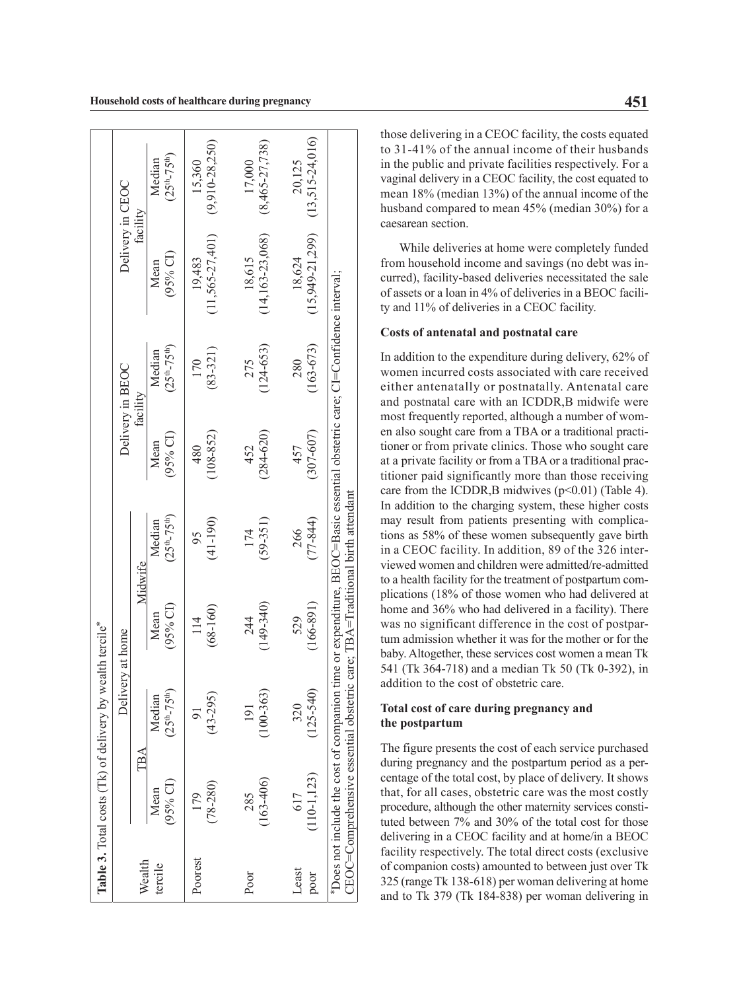|         |                                                                                 | <b>Table 3.</b> Total costs (Tk) of delivery by wealth tercile <sup>*</sup> |                                                                                                                                     |                         |                 |                         |                       |                         |
|---------|---------------------------------------------------------------------------------|-----------------------------------------------------------------------------|-------------------------------------------------------------------------------------------------------------------------------------|-------------------------|-----------------|-------------------------|-----------------------|-------------------------|
|         |                                                                                 | Delivery at home                                                            |                                                                                                                                     |                         |                 | Delivery in BEOC        | Delivery in CEOC      |                         |
| Wealth  | TBA                                                                             |                                                                             | Midwife                                                                                                                             |                         |                 | facility                | facility              |                         |
| tercile | (95% CI)<br>Mean                                                                | Median<br>$(25th - 75th)$                                                   | $(95%$ CI)<br>Mean                                                                                                                  | $(25th-75th)$<br>Median | 95% CI)<br>Mean | $(25th-75th)$<br>Median | $(95%$ CI)<br>Mean    | $(25th-75th)$<br>Median |
| Poorest | 179                                                                             | $\overline{9}$                                                              | 114                                                                                                                                 | 95                      | 480             | 170                     | 19,483                | 15.360                  |
|         | $(78 - 280)$                                                                    | $(43 - 295)$                                                                | $(68-160)$                                                                                                                          | $(41 - 190)$            | $(108 - 852)$   | $(83 - 321)$            | $(11,565 - 27,401)$   | $(9,910 - 28,250)$      |
| Poor    | 285                                                                             | 191                                                                         | 244                                                                                                                                 | 174                     | 452             | 275                     | 18,615                | 17,000                  |
|         | $(163 - 406)$                                                                   | 100-363                                                                     | $(149-340)$                                                                                                                         | $(59 - 351)$            | $(284 - 620)$   | $(124 - 653)$           | $(14, 163 - 23, 068)$ | $(8,465 - 27,738)$      |
| Least   | 617                                                                             | 320                                                                         | 529                                                                                                                                 | 266                     | 457             | 280                     | 18,624                | 20,125                  |
| poor    | $(110-1, 123)$                                                                  | $(125 - 540)$                                                               | $(166 - 891)$                                                                                                                       | $(77-844)$              | $(307 - 607)$   | $(163 - 673)$           | $(15,949 - 21,299)$   | $(13, 515 - 24, 016)$   |
|         | *Does not include the cost of companion<br>CEOC=Comprehensive essential obstetr |                                                                             | time or expenditure, BEOC=Basic essential obstetric care; CI=Confidence interval;<br>$\alpha$ care: TBA=Traditional birth attendant |                         |                 |                         |                       |                         |

those delivering in a CEOC facility, the costs equated to 31-41% of the annual income of their husbands in the public and private facilities respectively. For a vaginal delivery in a CEOC facility, the cost equated to mean 18% (median 13%) of the annual income of the husband compared to mean 45% (median 30%) for a caesarean section.

While deliveries at home were completely funded from household income and savings (no debt was incurred), facility-based deliveries necessitated the sale of assets or a loan in 4% of deliveries in a BEOC facility and 11% of deliveries in a CEOC facility.

# **Costs of antenatal and postnatal care**

In addition to the expenditure during delivery, 62% of women incurred costs associated with care received either antenatally or postnatally. Antenatal care and postnatal care with an ICDDR,B midwife were most frequently reported, although a number of women also sought care from a TBA or a traditional practitioner or from private clinics. Those who sought care at a private facility or from a TBA or a traditional practitioner paid significantly more than those receiving care from the ICDDR, B midwives  $(p<0.01)$  (Table 4). In addition to the charging system, these higher costs may result from patients presenting with complications as 58% of these women subsequently gave birth in a CEOC facility. In addition, 89 of the 326 interviewed women and children were admitted/re-admitted to a health facility for the treatment of postpartum complications (18% of those women who had delivered at home and 36% who had delivered in a facility). There was no significant difference in the cost of postpartum admission whether it was for the mother or for the baby. Altogether, these services cost women a mean Tk 541 (Tk 364-718) and a median Tk 50 (Tk 0-392), in addition to the cost of obstetric care.

# **Total cost of care during pregnancy and the postpartum**

The figure presents the cost of each service purchased during pregnancy and the postpartum period as a percentage of the total cost, by place of delivery. It shows that, for all cases, obstetric care was the most costly procedure, although the other maternity services constituted between 7% and 30% of the total cost for those delivering in a CEOC facility and at home/in a BEOC facility respectively. The total direct costs (exclusive of companion costs) amounted to between just over Tk 325 (range Tk 138-618) per woman delivering at home and to Tk 379 (Tk 184-838) per woman delivering in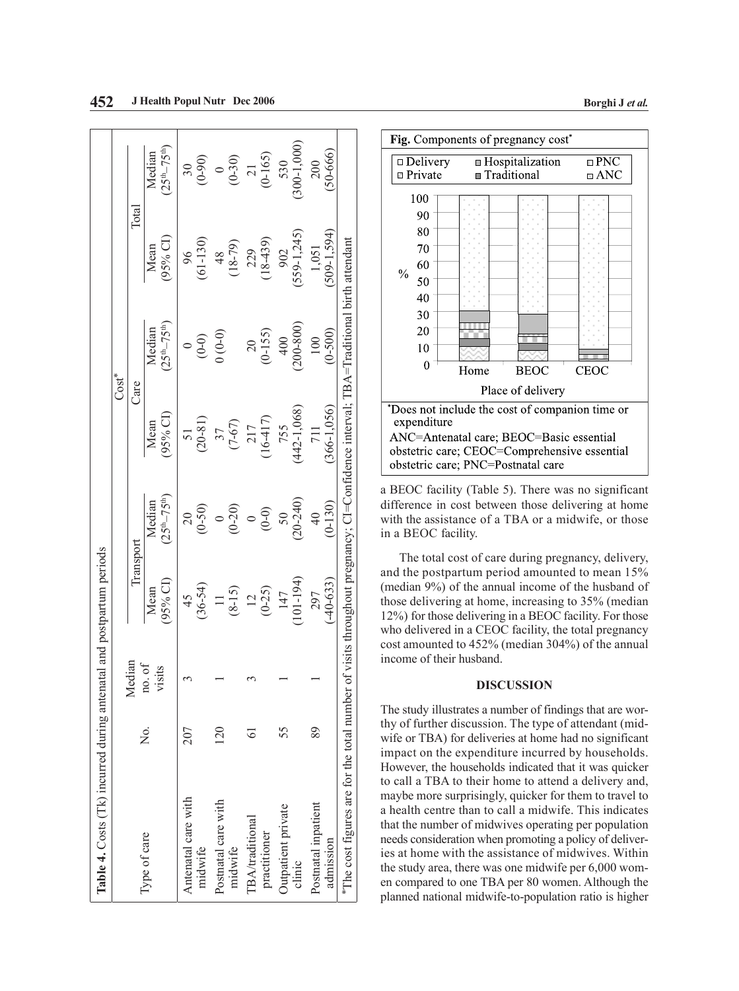| Table 4. Costs (Tk) incurred during antenatal and postpartum periods                                                              |                 |                  |                             |                               |                         |                               |                       |                                      |
|-----------------------------------------------------------------------------------------------------------------------------------|-----------------|------------------|-----------------------------|-------------------------------|-------------------------|-------------------------------|-----------------------|--------------------------------------|
|                                                                                                                                   |                 |                  |                             |                               |                         | $Cost^*$                      |                       |                                      |
|                                                                                                                                   |                 | Median           | Transport                   |                               | Care                    |                               | Total                 |                                      |
| Type of care                                                                                                                      | ,<br>Ž          | no. of<br>visits | $(95\% \text{ CI})$<br>Mean | $25^{th} - 75^{th}$<br>Median | $95%$ CI)<br>Mean       | $25^{th} - 75^{th}$<br>Median | 95% CI)<br>Mean       | $25th-75th$<br>Median                |
| Antenatal care with<br>midwife                                                                                                    | 207             |                  | $(36 - 54)$<br>45           | $(0-50)$<br>$\overline{20}$   | $(20-81)$<br>51         | $(0-0)$                       | $(61 - 130)$<br>96    | $(0-90)$<br>$\overline{\mathcal{E}}$ |
| Postnatal care with<br>midwife                                                                                                    | $\overline{20}$ |                  | $(8-15)$                    | $(0 - 20)$                    | $(7-67)$<br>37          | $(0-0)$                       | $(18-79)$<br>48       | (0.30)                               |
| <b>TBA/traditional</b><br>practitioner                                                                                            |                 |                  | $12$<br>(0-25)              | $(0-0)$                       | $(16-417)$<br>217       | $(0-155)$<br>$\overline{20}$  | $(18 - 439)$<br>229   | $\frac{21}{(0-165)}$                 |
| Outpatient private<br>clinic                                                                                                      | 55              |                  | $(101 - 194)$<br>147        | $(20-240)$<br>50              | $(442 - 1, 068)$<br>755 | $(008-00)$<br>400             | $(559-1, 245)$<br>902 | $300 - 1,000$<br>530                 |
| Postnatal inpatient<br>admission                                                                                                  | 89              |                  | $-40 - 633$<br>297          | $(0 - 130)$<br>$\frac{4}{0}$  | 366-1,056)<br>711       | $(0-500)$<br>100              | 509-1,594)<br>1,051   | 50-666)<br>200                       |
| The cost figures are for the total number of visits throughout pregnancy; Cl=Confidence interval; TBA=Traditional birth attendant |                 |                  |                             |                               |                         |                               |                       |                                      |



Fig. Components of pregnancy cost<sup>\*</sup>

a BEOC facility (Table 5). There was no significant difference in cost between those delivering at home with the assistance of a TBA or a midwife, or those in a BEOC facility.

The total cost of care during pregnancy, delivery, and the postpartum period amounted to mean 15% (median 9%) of the annual income of the husband of those delivering at home, increasing to 35% (median 12%) for those delivering in a BEOC facility. For those who delivered in a CEOC facility, the total pregnancy cost amounted to 452% (median 304%) of the annual income of their husband.

# **DISCUSSION**

The study illustrates a number of findings that are worthy of further discussion. The type of attendant (midwife or TBA) for deliveries at home had no significant impact on the expenditure incurred by households. However, the households indicated that it was quicker to call a TBA to their home to attend a delivery and, maybe more surprisingly, quicker for them to travel to a health centre than to call a midwife. This indicates that the number of midwives operating per population needs consideration when promoting a policy of deliveries at home with the assistance of midwives. Within the study area, there was one midwife per 6,000 women compared to one TBA per 80 women. Although the planned national midwife-to-population ratio is higher

**<sup>452</sup> J** Health Popul Nutr Dec 2006 **Borghi J** *et al.* **Borghi J** *et al.*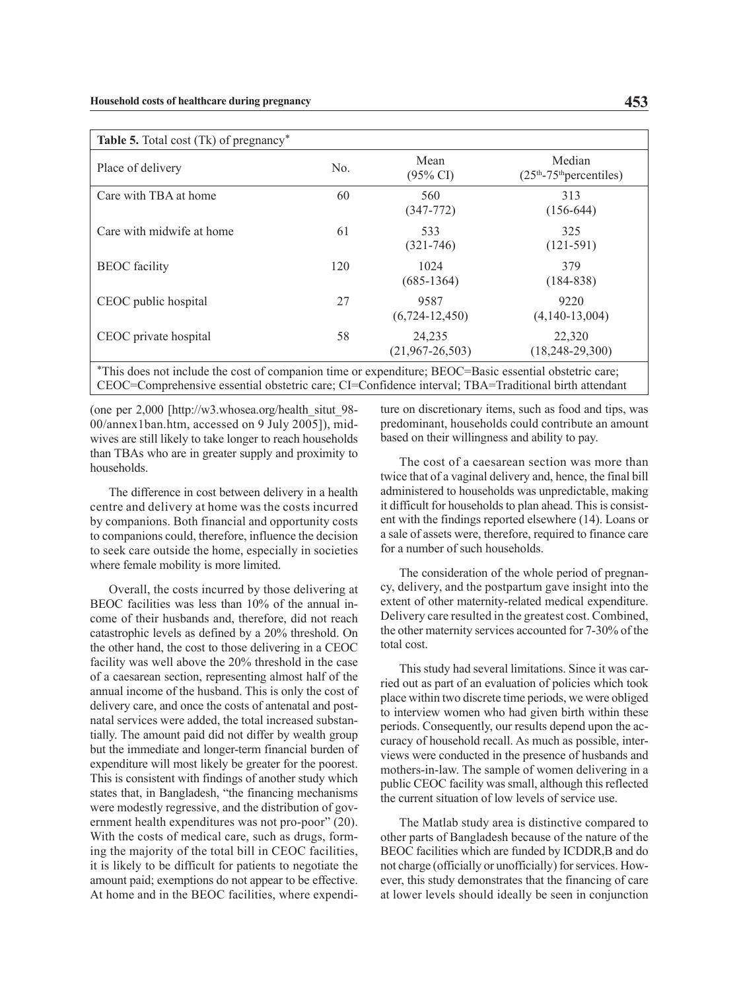| Place of delivery         | No. | Mean<br>$(95\% \text{ CI})$     | Median<br>$(25th-75th)$ percentiles) |
|---------------------------|-----|---------------------------------|--------------------------------------|
| Care with TBA at home     | 60  | 560<br>$(347 - 772)$            | 313<br>$(156-644)$                   |
| Care with midwife at home | 61  | 533<br>$(321 - 746)$            | 325<br>$(121-591)$                   |
| <b>BEOC</b> facility      | 120 | 1024<br>$(685-1364)$            | 379<br>$(184 - 838)$                 |
| CEOC public hospital      | 27  | 9587<br>$(6,724-12,450)$        | 9220<br>$(4,140-13,004)$             |
| CEOC private hospital     | 58  | 24,235<br>$(21, 967 - 26, 503)$ | 22,320<br>$(18, 248 - 29, 300)$      |

(one per 2,000 [http://w3.whosea.org/health\_situt\_98- 00/annex1ban.htm, accessed on 9 July 2005]), midwives are still likely to take longer to reach households than TBAs who are in greater supply and proximity to households.

The difference in cost between delivery in a health centre and delivery at home was the costs incurred by companions. Both financial and opportunity costs to companions could, therefore, influence the decision to seek care outside the home, especially in societies where female mobility is more limited.

Overall, the costs incurred by those delivering at BEOC facilities was less than 10% of the annual income of their husbands and, therefore, did not reach catastrophic levels as defined by a 20% threshold. On the other hand, the cost to those delivering in a CEOC facility was well above the 20% threshold in the case of a caesarean section, representing almost half of the annual income of the husband. This is only the cost of delivery care, and once the costs of antenatal and postnatal services were added, the total increased substantially. The amount paid did not differ by wealth group but the immediate and longer-term financial burden of expenditure will most likely be greater for the poorest. This is consistent with findings of another study which states that, in Bangladesh, "the financing mechanisms were modestly regressive, and the distribution of government health expenditures was not pro-poor" (20). With the costs of medical care, such as drugs, forming the majority of the total bill in CEOC facilities, it is likely to be difficult for patients to negotiate the amount paid; exemptions do not appear to be effective. At home and in the BEOC facilities, where expenditure on discretionary items, such as food and tips, was predominant, households could contribute an amount based on their willingness and ability to pay.

The cost of a caesarean section was more than twice that of a vaginal delivery and, hence, the final bill administered to households was unpredictable, making it difficult for households to plan ahead. This is consistent with the findings reported elsewhere (14). Loans or a sale of assets were, therefore, required to finance care for a number of such households.

The consideration of the whole period of pregnancy, delivery, and the postpartum gave insight into the extent of other maternity-related medical expenditure. Delivery care resulted in the greatest cost. Combined, the other maternity services accounted for 7-30% of the total cost.

This study had several limitations. Since it was carried out as part of an evaluation of policies which took place within two discrete time periods, we were obliged to interview women who had given birth within these periods. Consequently, our results depend upon the accuracy of household recall. As much as possible, interviews were conducted in the presence of husbands and mothers-in-law. The sample of women delivering in a public CEOC facility was small, although this reflected the current situation of low levels of service use.

The Matlab study area is distinctive compared to other parts of Bangladesh because of the nature of the BEOC facilities which are funded by ICDDR,B and do not charge (officially or unofficially) for services. However, this study demonstrates that the financing of care at lower levels should ideally be seen in conjunction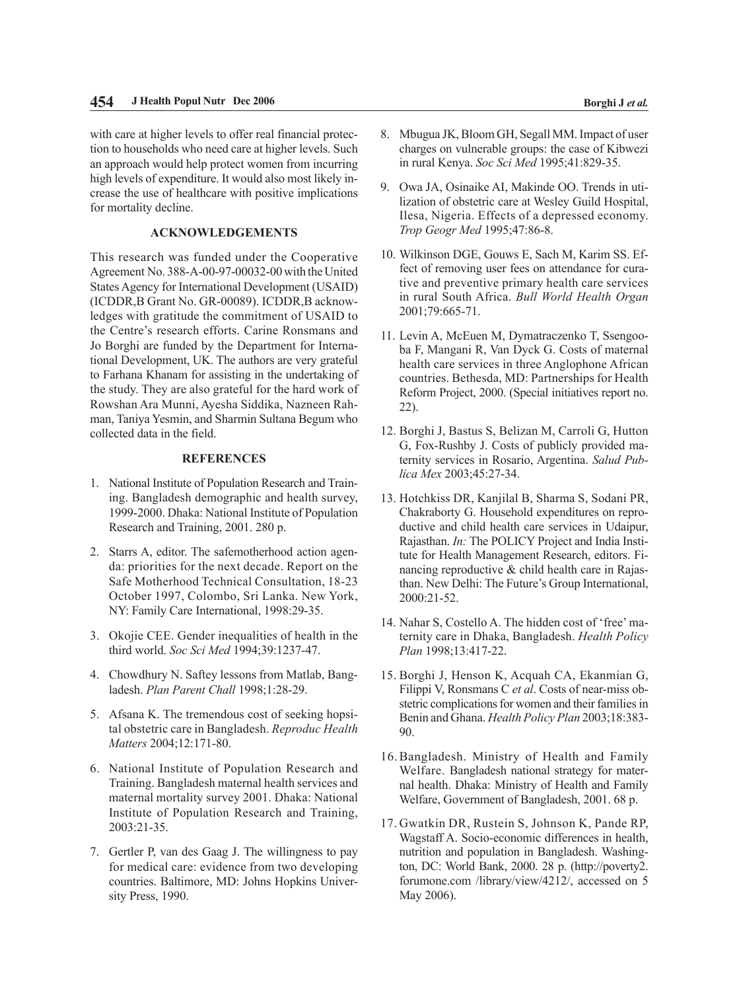with care at higher levels to offer real financial protection to households who need care at higher levels. Such an approach would help protect women from incurring high levels of expenditure. It would also most likely increase the use of healthcare with positive implications for mortality decline.

# **ACKNOWLEDGEMENTS**

This research was funded under the Cooperative Agreement No. 388-A-00-97-00032-00 with the United States Agency for International Development (USAID) (ICDDR,B Grant No. GR-00089). ICDDR,B acknowledges with gratitude the commitment of USAID to the Centre's research efforts. Carine Ronsmans and Jo Borghi are funded by the Department for International Development, UK. The authors are very grateful to Farhana Khanam for assisting in the undertaking of the study. They are also grateful for the hard work of Rowshan Ara Munni, Ayesha Siddika, Nazneen Rahman, Taniya Yesmin, and Sharmin Sultana Begum who collected data in the field.

# **REFERENCES**

- 1. National Institute of Population Research and Training. Bangladesh demographic and health survey, 1999-2000. Dhaka: National Institute of Population Research and Training, 2001. 280 p.
- 2. Starrs A, editor. The safemotherhood action agenda: priorities for the next decade. Report on the Safe Motherhood Technical Consultation, 18-23 October 1997, Colombo, Sri Lanka. New York, NY: Family Care International, 1998:29-35.
- 3. Okojie CEE. Gender inequalities of health in the third world. *Soc Sci Med* 1994;39:1237-47.
- 4. Chowdhury N. Saftey lessons from Matlab, Bangladesh. *Plan Parent Chall* 1998;1:28-29.
- 5. Afsana K. The tremendous cost of seeking hopsital obstetric care in Bangladesh. *Reproduc Health Matters* 2004;12:171-80.
- 6. National Institute of Population Research and Training. Bangladesh maternal health services and maternal mortality survey 2001. Dhaka: National Institute of Population Research and Training, 2003:21-35.
- 7. Gertler P, van des Gaag J. The willingness to pay for medical care: evidence from two developing countries. Baltimore, MD: Johns Hopkins University Press, 1990.
- 8. Mbugua JK, Bloom GH, Segall MM. Impact of user charges on vulnerable groups: the case of Kibwezi in rural Kenya. *Soc Sci Med* 1995;41:829-35.
- 9. Owa JA, Osinaike AI, Makinde OO. Trends in utilization of obstetric care at Wesley Guild Hospital, Ilesa, Nigeria. Effects of a depressed economy. *Trop Geogr Med* 1995;47:86-8.
- 10. Wilkinson DGE, Gouws E, Sach M, Karim SS. Effect of removing user fees on attendance for curative and preventive primary health care services in rural South Africa. *Bull World Health Organ* 2001;79:665-71.
- 11. Levin A, McEuen M, Dymatraczenko T, Ssengooba F, Mangani R, Van Dyck G. Costs of maternal health care services in three Anglophone African countries. Bethesda, MD: Partnerships for Health Reform Project, 2000. (Special initiatives report no. 22).
- 12. Borghi J, Bastus S, Belizan M, Carroli G, Hutton G, Fox-Rushby J. Costs of publicly provided maternity services in Rosario, Argentina. *Salud Publica Mex* 2003;45:27-34.
- 13. Hotchkiss DR, Kanjilal B, Sharma S, Sodani PR, Chakraborty G. Household expenditures on reproductive and child health care services in Udaipur, Rajasthan. *In:* The POLICY Project and India Institute for Health Management Research, editors. Financing reproductive & child health care in Rajasthan. New Delhi: The Future's Group International, 2000:21-52.
- 14. Nahar S, Costello A. The hidden cost of 'free' maternity care in Dhaka, Bangladesh. *Health Policy Plan* 1998;13:417-22.
- 15. Borghi J, Henson K, Acquah CA, Ekanmian G, Filippi V, Ronsmans C *et al*. Costs of near-miss obstetric complications for women and their families in Benin and Ghana. *Health Policy Plan* 2003;18:383- 90.
- 16.Bangladesh. Ministry of Health and Family Welfare. Bangladesh national strategy for maternal health. Dhaka: Ministry of Health and Family Welfare, Government of Bangladesh, 2001. 68 p.
- 17. Gwatkin DR, Rustein S, Johnson K, Pande RP, Wagstaff A. Socio-economic differences in health, nutrition and population in Bangladesh. Washington, DC: World Bank, 2000. 28 p. (http://poverty2. forumone.com /library/view/4212/, accessed on 5 May 2006).